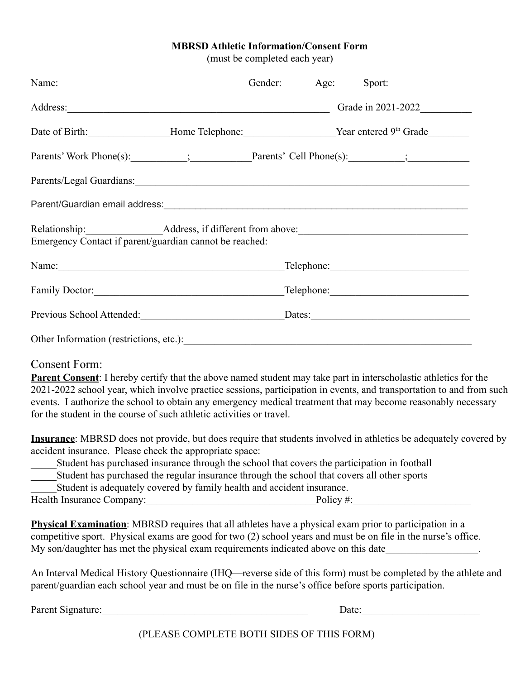## **MBRSD Athletic Information/Consent Form**

(must be completed each year)

| Name: Sport: Sport: Sport: Sport: Sport: Sport: Sport: Sport: Sport: Sport: Sport: Sport: Sport: Sport: Sport: Sport: Sport: Sport: Sport: Sport: Sport: Sport: Sport: Sport: Sport: Sport: Sport: Sport: Sport: Sport: Sport:                                                                                                                                                                                                                                                              |  |                             |  |  |
|---------------------------------------------------------------------------------------------------------------------------------------------------------------------------------------------------------------------------------------------------------------------------------------------------------------------------------------------------------------------------------------------------------------------------------------------------------------------------------------------|--|-----------------------------|--|--|
|                                                                                                                                                                                                                                                                                                                                                                                                                                                                                             |  | Address: Grade in 2021-2022 |  |  |
|                                                                                                                                                                                                                                                                                                                                                                                                                                                                                             |  |                             |  |  |
|                                                                                                                                                                                                                                                                                                                                                                                                                                                                                             |  |                             |  |  |
| Parents/Legal Guardians:                                                                                                                                                                                                                                                                                                                                                                                                                                                                    |  |                             |  |  |
| Parent/Guardian email address:<br><u>Darent/Guardian email address:</u>                                                                                                                                                                                                                                                                                                                                                                                                                     |  |                             |  |  |
| Emergency Contact if parent/guardian cannot be reached:                                                                                                                                                                                                                                                                                                                                                                                                                                     |  |                             |  |  |
|                                                                                                                                                                                                                                                                                                                                                                                                                                                                                             |  |                             |  |  |
|                                                                                                                                                                                                                                                                                                                                                                                                                                                                                             |  |                             |  |  |
| Previous School Attended:<br><u>Dates:</u> <u>Dates:</u>                                                                                                                                                                                                                                                                                                                                                                                                                                    |  |                             |  |  |
|                                                                                                                                                                                                                                                                                                                                                                                                                                                                                             |  |                             |  |  |
| <b>Consent Form:</b><br><b>Parent Consent</b> : I hereby certify that the above named student may take part in interscholastic athletics for the<br>2021-2022 school year, which involve practice sessions, participation in events, and transportation to and from such<br>events. I authorize the school to obtain any emergency medical treatment that may become reasonably necessary<br>for the student in the course of such athletic activities or travel.                           |  |                             |  |  |
| Insurance: MBRSD does not provide, but does require that students involved in athletics be adequately covered by<br>accident insurance. Please check the appropriate space:<br>Student has purchased insurance through the school that covers the participation in football<br>Student has purchased the regular insurance through the school that covers all other sports<br>Student is adequately covered by family health and accident insurance.<br>Health Insurance Company: Policy #: |  |                             |  |  |
| <b>Physical Examination</b> : MBRSD requires that all athletes have a physical exam prior to participation in a<br>competitive sport. Physical exams are good for two (2) school years and must be on file in the nurse's office.<br>My son/daughter has met the physical exam requirements indicated above on this date                                                                                                                                                                    |  |                             |  |  |

An Interval Medical History Questionnaire (IHQ—reverse side of this form) must be completed by the athlete and parent/guardian each school year and must be on file in the nurse's office before sports participation.

Parent Signature: The contract of the contract of the contract of the contract of the contract of the contract of the contract of the contract of the contract of the contract of the contract of the contract of the contract

(PLEASE COMPLETE BOTH SIDES OF THIS FORM)